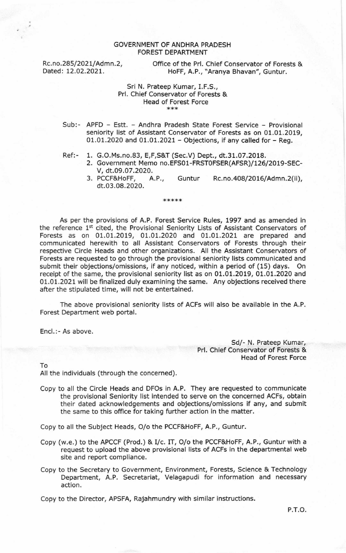## GOVERNMENT OF ANDHRA PRADESH FOREST DEPARTMENT

Rc.no.285/2021/Admn.2, Office of the Prl. Chief Conservator of Forests & Dated: 12.02.2021. HoFF, A.P., "Aranya Bhavan", Guntur. HoFF, A.P., "Aranya Bhavan", Guntur.

## Sri N. Prateep Kumar, I.F.S., Prl. Chief Conservator of Forests & Head of Forest Force

- Sub:- APFD Estt. Andhra Pradesh State Forest Service Provisional seniority list of Assistant Conservator of Forests as on 01.01.2019, 01.01.2020 and 01.01.2021 - Objections, if any called for - Reg.
- Ref:- 1. G.O.Ms.no.B3, E,F,S&T (Sec.V) Dept., dt.31.07.2OL8.
	- 2. Government Memo no.EFS01-FRST0FSER(AFSR)/126/2019-SEC-V, dt.09.07.2020.<br>3. PCCF&HoFF, A.P.,
	- Guntur Rc.no.408/2016/Admn.2(ii), dt.03.08.2020.

\*\*\*\*\*

As per the provisions of A.P. Forest Service Rules, 1997 and as amended in the reference 1<sup>st</sup> cited, the Provisional Seniority Lists of Assistant Conservators of Forests as on 01.01.2019, 01.01.2020 and 01.01.2021 are prepared and communicated herewith to all Assistant Conservators of Forests through their respective Circle Heads and other organizations. All the Assistant Conservators of Forests are requested to go through the provisional seniority lists communicated and submit their objections/omissions, if any noticed, within a period of (15) days. On receipt of the same, the provisional seniority list as on 01.01.2019, 01.01.2020 and 01.01.2021 will be finalized duly examining the same. Any objections received there after the stipulated time, will not be entertained.

The above provisional seniority lists of ACFS will also be available in the A.P. Forest Department web portal.

Encl.:- As above.

Sd/- N. Prateep Kumar, Prl. Chief Conservator of Forests & Head of Forest Force

To

All the individuals (through the concerned).

Copy to all the Circle Heads and DFOs in A.P. They are requested to communicate the provisional Seniority list intended to serve on the concerned ACFS, obtain their dated acknowledgements and objections/omissions if any, and submit the same to this office for taking further action in the matter.

Copy to all the Subject Heads, O/o the PCCF&HoFF, A.P., Guntur.

- Copy (w.e.) to the APCCF (Prod.) & I/c. IT, O/o the PCCF&HoFF, A.P., Guntur with a request to upload the above provisional lists of ACFS in the departmental web site and report compliance.
- Copy to the Secretary to Government, Environment, Forests, Science & Technology Department, A.P. Secretariat, Velagapudi for information and necessary action.

Copy to the Director, APSFA, Rajahmundry with similar instructions.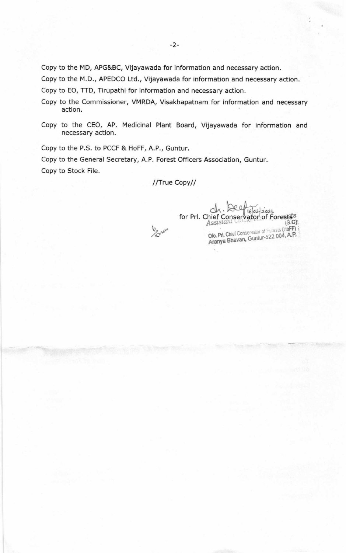copy to the MD, APG&BC, Vijayawada for information and necessary action.

copy to the M.D., APEDCO Ltd., Vijayawada for information and necessary action.

copy to EO, TTD, Tirupathi for information and necessary action.

- copy to the Commissioner, VMRDA, Visakhapatnam for information and necessary action.
- Copy to the CEO, AP. Medicinal Plant Board, Vijayawada for information and necessary action.

Copy to the P.S. to PCCF & HoFF, A.P., Guntur,

Copy to the General Secretary, A.P. Forest Officers Association, Guntur. Copy to Stock File.

/lfrue Copy//

Elvert

.-h.  $022021$ for Prl.  $(S.C)$ Assistant Conservator of Forests (HoFF)<br>Olo. Pri. Chief Conservator of Forests (HoFF) Aranya Bhavan, Guntur-522 004, A.P.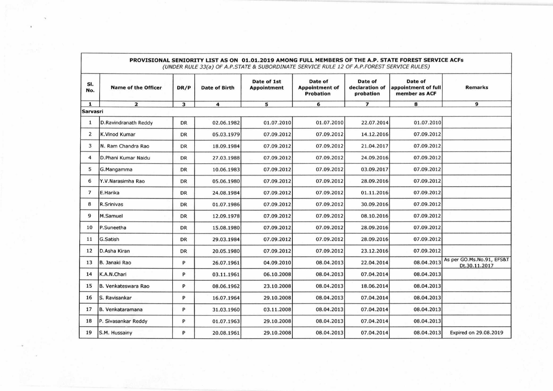| PROVISIONAL SENIORITY LIST AS ON 01.01.2019 AMONG FULL MEMBERS OF THE A.P. STATE FOREST SERVICE ACFs<br>(UNDER RULE 33(a) OF A.P.STATE & SUBORDINATE SERVICE RULE 12 OF A.P.FOREST SERVICE RULES) |                            |           |                      |                                   |                                                      |                                        |                                                 |                                            |  |  |
|---------------------------------------------------------------------------------------------------------------------------------------------------------------------------------------------------|----------------------------|-----------|----------------------|-----------------------------------|------------------------------------------------------|----------------------------------------|-------------------------------------------------|--------------------------------------------|--|--|
| SI.<br>No.                                                                                                                                                                                        | <b>Name of the Officer</b> | DR/P      | <b>Date of Birth</b> | Date of 1st<br><b>Appointment</b> | Date of<br><b>Appointment of</b><br><b>Probation</b> | Date of<br>declaration of<br>probation | Date of<br>appointment of full<br>member as ACF | <b>Remarks</b>                             |  |  |
| 1                                                                                                                                                                                                 | $\mathbf{z}$               | 3         | 4                    | 5                                 | 6                                                    | $\overline{ }$                         | 8                                               | 9                                          |  |  |
|                                                                                                                                                                                                   | <b>Sarvasri</b>            |           |                      |                                   |                                                      |                                        |                                                 |                                            |  |  |
| 1                                                                                                                                                                                                 | D.Ravindranath Reddy       | <b>DR</b> | 02.06.1982           | 01.07.2010                        | 01.07.2010                                           | 22.07.2014                             | 01.07.2010                                      |                                            |  |  |
| 2                                                                                                                                                                                                 | K.Vinod Kumar              | DR        | 05.03.1979           | 07.09.2012                        | 07.09.2012                                           | 14.12.2016                             | 07.09.2012                                      |                                            |  |  |
| 3                                                                                                                                                                                                 | N. Ram Chandra Rao         | DR        | 18.09.1984           | 07.09.2012                        | 07.09.2012                                           | 21.04.2017                             | 07.09.2012                                      |                                            |  |  |
| $\overline{4}$                                                                                                                                                                                    | D.Phani Kumar Naidu        | DR        | 27.03.1988           | 07.09.2012                        | 07.09.2012                                           | 24.09.2016                             | 07.09.2012                                      |                                            |  |  |
| 5                                                                                                                                                                                                 | G.Mangamma                 | DR        | 10.06.1983           | 07.09.2012                        | 07.09.2012                                           | 03.09.2017                             | 07.09.2012                                      |                                            |  |  |
| 6                                                                                                                                                                                                 | Y.V.Narasimha Rao          | <b>DR</b> | 05.06.1980           | 07.09.2012                        | 07.09.2012                                           | 28.09.2016                             | 07.09.2012                                      |                                            |  |  |
| $\overline{7}$                                                                                                                                                                                    | E.Harika                   | DR        | 24.08.1984           | 07.09.2012                        | 07.09.2012                                           | 01.11.2016                             | 07.09.2012                                      |                                            |  |  |
| 8                                                                                                                                                                                                 | R.Srinivas                 | DR        | 01.07.1986           | 07.09.2012                        | 07.09.2012                                           | 30.09.2016                             | 07.09.2012                                      |                                            |  |  |
| 9                                                                                                                                                                                                 | M.Samuel                   | DR        | 12.09.1978           | 07.09.2012                        | 07.09.2012                                           | 08.10.2016                             | 07.09.2012                                      |                                            |  |  |
| 10                                                                                                                                                                                                | P.Suneetha                 | <b>DR</b> | 15.08.1980           | 07.09.2012                        | 07.09.2012                                           | 28.09.2016                             | 07.09.2012                                      |                                            |  |  |
| 11                                                                                                                                                                                                | G.Satish                   | DR        | 29.03.1984           | 07.09.2012                        | 07.09.2012                                           | 28.09.2016                             | 07.09.2012                                      |                                            |  |  |
| 12                                                                                                                                                                                                | D.Asha Kiran               | <b>DR</b> | 20.05.1980           | 07.09.2012                        | 07.09.2012                                           | 23.12.2016                             | 07.09.2012                                      |                                            |  |  |
| 13                                                                                                                                                                                                | B. Janaki Rao              | P         | 26.07.1961           | 04.09.2010                        | 08.04.2013                                           | 22.04.2014                             | 08.04.2013                                      | As per GO.Ms.No.91, EFS&T<br>Dt.30.11.2017 |  |  |
| 14                                                                                                                                                                                                | K.A.N.Chari                | P         | 03.11.1961           | 06.10.2008                        | 08.04.2013                                           | 07.04.2014                             | 08.04.2013                                      |                                            |  |  |
| 15                                                                                                                                                                                                | B. Venkateswara Rao        | P         | 08.06.1962           | 23.10.2008                        | 08.04.2013                                           | 18.06.2014                             | 08.04.2013                                      |                                            |  |  |
| 16                                                                                                                                                                                                | S. Ravisankar              | P         | 16.07.1964           | 29.10.2008                        | 08.04.2013                                           | 07.04.2014                             | 08.04.2013                                      |                                            |  |  |
| 17                                                                                                                                                                                                | B. Venkataramana           | P         | 31.03.1960           | 03.11.2008                        | 08.04.2013                                           | 07.04.2014                             | 08.04.2013                                      |                                            |  |  |
| 18                                                                                                                                                                                                | P. Sivasankar Reddy        | P         | 01.07.1963           | 29.10.2008                        | 08.04.2013                                           | 07.04.2014                             | 08.04.2013                                      |                                            |  |  |
| 19                                                                                                                                                                                                | S.M. Hussainy              | P         | 20.08.1961           | 29.10.2008                        | 08.04.2013                                           | 07.04.2014                             | 08.04.2013                                      | Expired on 29.08.2019                      |  |  |